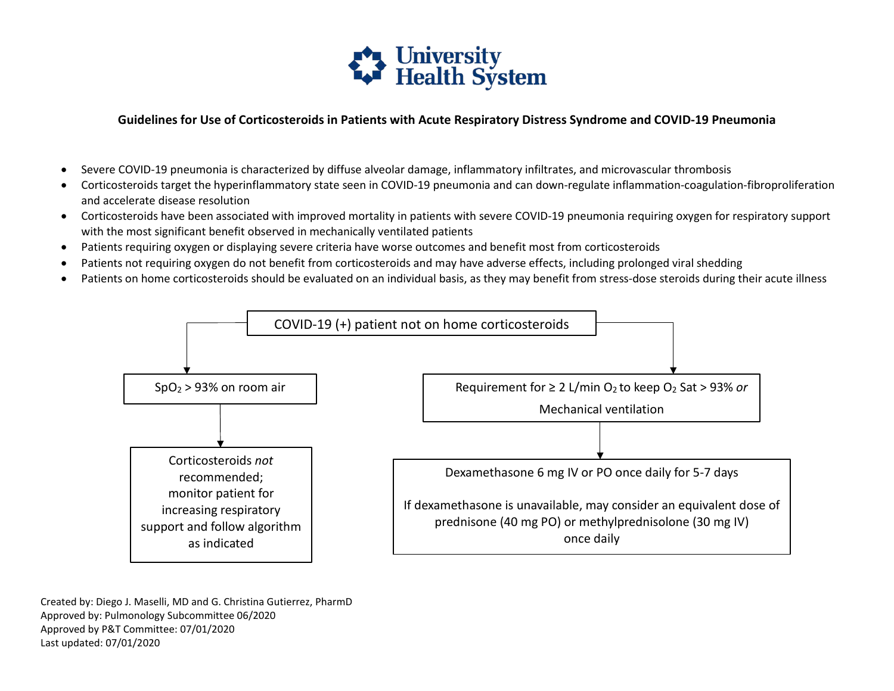

## **Guidelines for Use of Corticosteroids in Patients with Acute Respiratory Distress Syndrome and COVID-19 Pneumonia**

- Severe COVID-19 pneumonia is characterized by diffuse alveolar damage, inflammatory infiltrates, and microvascular thrombosis
- Corticosteroids target the hyperinflammatory state seen in COVID-19 pneumonia and can down-regulate inflammation-coagulation-fibroproliferation and accelerate disease resolution
- • Corticosteroids have been associated with improved mortality in patients with severe COVID-19 pneumonia requiring oxygen for respiratory support with the most significant benefit observed in mechanically ventilated patients
- Patients requiring oxygen or displaying severe criteria have worse outcomes and benefit most from corticosteroids
- Patients not requiring oxygen do not benefit from corticosteroids and may have adverse effects, including prolonged viral shedding
- Patients on home corticosteroids should be evaluated on an individual basis, as they may benefit from stress-dose steroids during their acute illness



 Created by: Diego J. Maselli, MD and G. Christina Gutierrez, PharmD Approved by: Pulmonology Subcommittee 06/2020 Approved by P&T Committee: 07/01/2020 Last updated: 07/01/2020